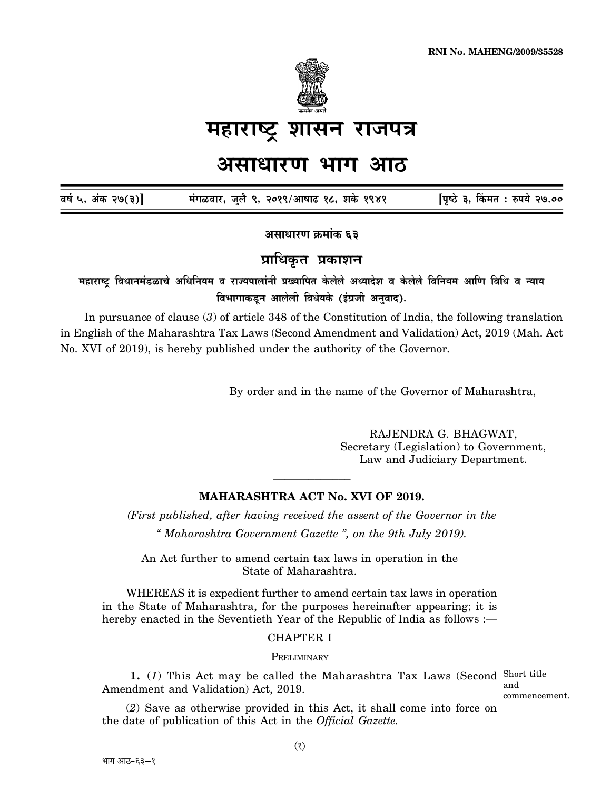

महाराष्ट्र शासन राजपत्<del>र</del>

# <u>असाधारण भाग आठ</u>

**´É¹ÉÇ 5, +ÆEò 27(3)] ¨ÉÆMɳý´ÉÉ®ú, VÉÖ±Éè 9, 2019/+ɹÉÉfø 18, ¶ÉEäò 1941 [{ÉÞ¹`äö 3, ËEò¨ÉiÉ : ¯û{ɪÉä 27.00**

<u>असाधारण क्रमांक ६३</u>

**प्राधिकृत प्रकाशन** 

<u>महाराष्ट्र</u> विधानमंडळाचे अधिनियम व राज्यपालांनी प्रख्यापित केलेले अध्यादेश व केलेले विनियम आणि विधि व न्याय **विभागाकडून आलेली विधेयके (इंग्रजी अनुवाद).** 

In pursuance of clause (*3*) of article 348 of the Constitution of India, the following translation in English of the Maharashtra Tax Laws (Second Amendment and Validation) Act, 2019 (Mah. Act No. XVI of 2019), is hereby published under the authority of the Governor.

By order and in the name of the Governor of Maharashtra,

RAJENDRA G. BHAGWAT, Secretary (Legislation) to Government, Law and Judiciary Department.

## ––––––––––––– **MAHARASHTRA ACT No. XVI OF 2019.**

*(First published, after having received the assent of the Governor in the " Maharashtra Government Gazette ", on the 9th July 2019).*

An Act further to amend certain tax laws in operation in the State of Maharashtra.

WHEREAS it is expedient further to amend certain tax laws in operation in the State of Maharashtra, for the purposes hereinafter appearing; it is hereby enacted in the Seventieth Year of the Republic of India as follows :-

#### CHAPTER I

#### **PRELIMINARY**

1. (1) This Act may be called the Maharashtra Tax Laws (Second Short title and Amendment and Validation) Act, 2019.

commencement.

(*2*) Save as otherwise provided in this Act, it shall come into force on the date of publication of this Act in the *Official Gazette.*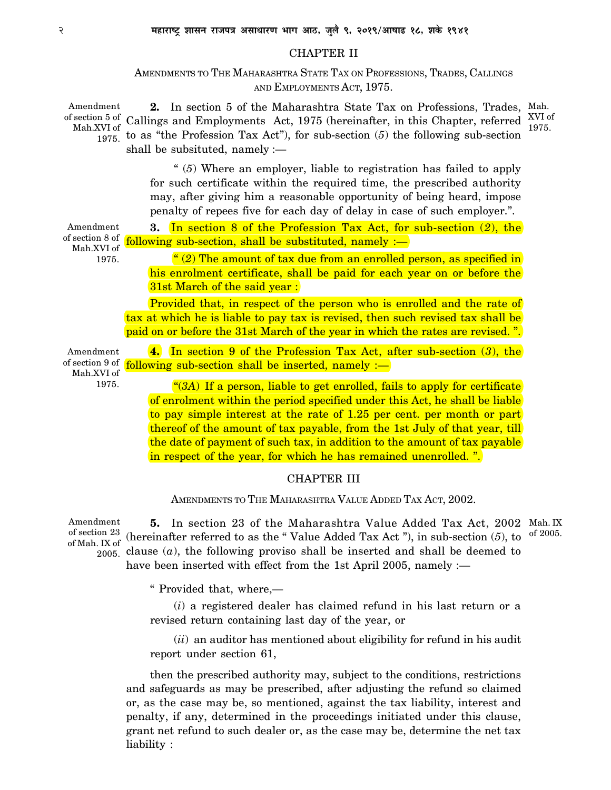#### 2 **¨É½þÉ®úɹ]Åõ ¶ÉɺÉxÉ ®úÉVÉ{ÉjÉ +ºÉÉvÉÉ®úhÉ ¦ÉÉMÉ +É`ö, VÉÖ±Éè 9, 2019/+ɹÉÉfø 18, ¶ÉEäò 1941**

#### CHAPTER II

### AMENDMENTS TO THE MAHARASHTRA STATE TAX ON PROFESSIONS, TRADES, CALLINGS AND EMPLOYMENTS ACT, 1975.

**2.** In section 5 of the Maharashtra State Tax on Professions, Trades, Mah. of section 5 of Callings and Employments Act, 1975 (hereinafter, in this Chapter, referred  $\frac{1975}{1975}$  to as "the Profession Tax Act"), for sub-section (5) the following sub-section shall be subsituted, namely :— Amendment Mah.XVI of XVI of 1975.

> " (*5*) Where an employer, liable to registration has failed to apply for such certificate within the required time, the prescribed authority may, after giving him a reasonable opportunity of being heard, impose penalty of repees five for each day of delay in case of such employer.".

**3.** In section 8 of the Profession Tax Act, for sub-section (*2*), the following sub-section, shall be substituted, namely :— Amendment of section 8 of Mah.XVI of

> " (*2*) The amount of tax due from an enrolled person, as specified in his enrolment certificate, shall be paid for each year on or before the 31st March of the said year :

Provided that, in respect of the person who is enrolled and the rate of tax at which he is liable to pay tax is revised, then such revised tax shall be paid on or before the 31st March of the year in which the rates are revised. ".

Amendment Mah.XVI of 1975.

1975.

**4.** In section 9 of the Profession Tax Act, after sub-section (*3*), the of section 9 of **following sub-section shall be inserted, namely :**—

> "(*3A*) If a person, liable to get enrolled, fails to apply for certificate of enrolment within the period specified under this Act, he shall be liable to pay simple interest at the rate of 1.25 per cent. per month or part thereof of the amount of tax payable, from the 1st July of that year, till the date of payment of such tax, in addition to the amount of tax payable in respect of the year, for which he has remained unenrolled. ".

#### CHAPTER III

AMENDMENTS TO THE MAHARASHTRA VALUE ADDED TAX ACT, 2002.

Amendment of section 23 of Mah. IX of

**5.** In section 23 of the Maharashtra Value Added Tax Act, 2002 Mah. IX (hereinafter referred to as the " Value Added Tax Act "), in sub-section (*5*), to  $_{2005}$  clause (*a*), the following proviso shall be inserted and shall be deemed to of 2005.

have been inserted with effect from the 1st April 2005, namely :-

" Provided that, where,—

(*i*) a registered dealer has claimed refund in his last return or a revised return containing last day of the year, or

(*ii*) an auditor has mentioned about eligibility for refund in his audit report under section 61,

then the prescribed authority may, subject to the conditions, restrictions and safeguards as may be prescribed, after adjusting the refund so claimed or, as the case may be, so mentioned, against the tax liability, interest and penalty, if any, determined in the proceedings initiated under this clause, grant net refund to such dealer or, as the case may be, determine the net tax liability :